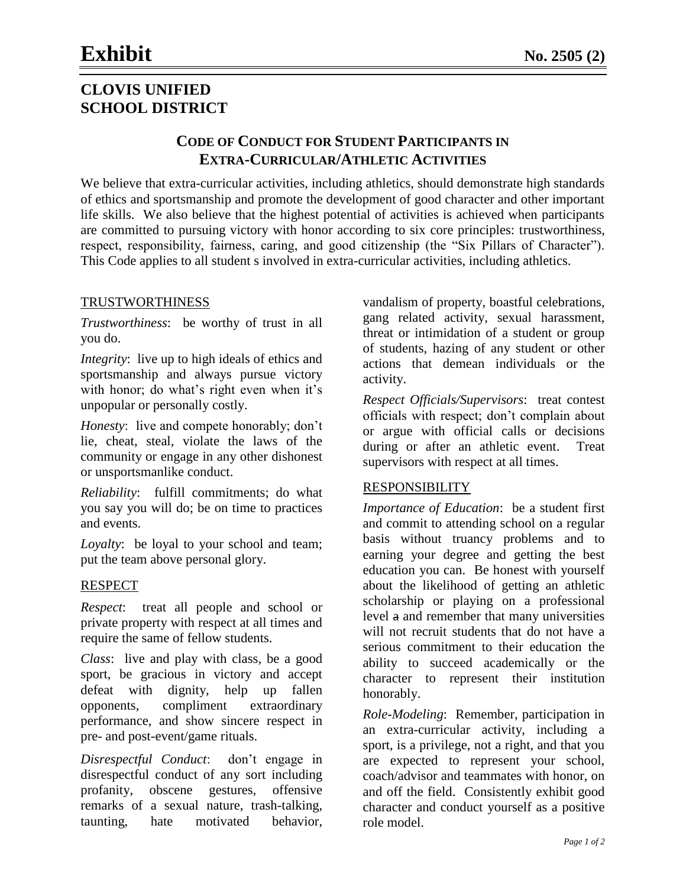# **CLOVIS UNIFIED SCHOOL DISTRICT**

## **CODE OF CONDUCT FOR STUDENT PARTICIPANTS IN EXTRA-CURRICULAR/ATHLETIC ACTIVITIES**

We believe that extra-curricular activities, including athletics, should demonstrate high standards of ethics and sportsmanship and promote the development of good character and other important life skills. We also believe that the highest potential of activities is achieved when participants are committed to pursuing victory with honor according to six core principles: trustworthiness, respect, responsibility, fairness, caring, and good citizenship (the "Six Pillars of Character"). This Code applies to all student s involved in extra-curricular activities, including athletics.

## TRUSTWORTHINESS

*Trustworthiness*: be worthy of trust in all you do.

*Integrity*: live up to high ideals of ethics and sportsmanship and always pursue victory with honor; do what's right even when it's unpopular or personally costly.

*Honesty*: live and compete honorably; don't lie, cheat, steal, violate the laws of the community or engage in any other dishonest or unsportsmanlike conduct.

*Reliability*: fulfill commitments; do what you say you will do; be on time to practices and events.

*Loyalty*: be loyal to your school and team; put the team above personal glory.

## RESPECT

*Respect*: treat all people and school or private property with respect at all times and require the same of fellow students.

*Class*: live and play with class, be a good sport, be gracious in victory and accept defeat with dignity, help up fallen opponents, compliment extraordinary performance, and show sincere respect in pre- and post-event/game rituals.

*Disrespectful Conduct*: don't engage in disrespectful conduct of any sort including profanity, obscene gestures, offensive remarks of a sexual nature, trash-talking, taunting, hate motivated behavior,

vandalism of property, boastful celebrations, gang related activity, sexual harassment, threat or intimidation of a student or group of students, hazing of any student or other actions that demean individuals or the activity.

*Respect Officials/Supervisors*: treat contest officials with respect; don't complain about or argue with official calls or decisions during or after an athletic event. Treat supervisors with respect at all times.

#### RESPONSIBILITY

*Importance of Education*: be a student first and commit to attending school on a regular basis without truancy problems and to earning your degree and getting the best education you can. Be honest with yourself about the likelihood of getting an athletic scholarship or playing on a professional level a and remember that many universities will not recruit students that do not have a serious commitment to their education the ability to succeed academically or the character to represent their institution honorably.

*Role-Modeling*: Remember, participation in an extra-curricular activity, including a sport, is a privilege, not a right, and that you are expected to represent your school, coach/advisor and teammates with honor, on and off the field. Consistently exhibit good character and conduct yourself as a positive role model.